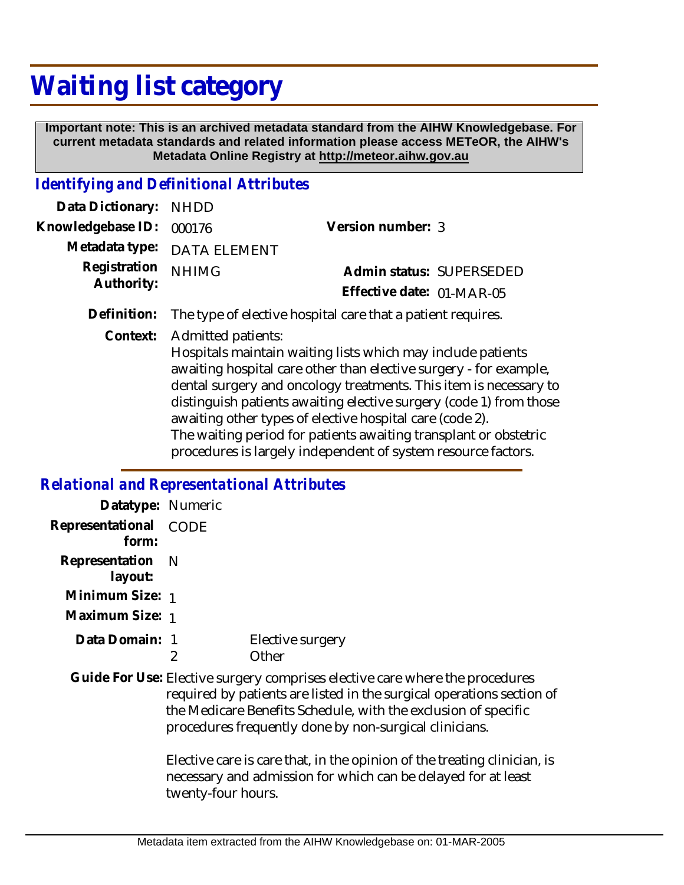## **Waiting list category**

 **Important note: This is an archived metadata standard from the AIHW Knowledgebase. For current metadata standards and related information please access METeOR, the AIHW's Metadata Online Registry at http://meteor.aihw.gov.au**

## *Identifying and Definitional Attributes*

| Data Dictionary: NHDD      |                             |                           |  |
|----------------------------|-----------------------------|---------------------------|--|
| Knowledgebase ID: 000176   |                             | Version number: 3         |  |
|                            | Metadata type: DATA ELEMENT |                           |  |
| Registration<br>Authority: | <b>NHIMG</b>                | Admin status: SUPERSEDED  |  |
|                            |                             | Effective date: 01-MAR-05 |  |
|                            |                             |                           |  |

**Definition:** The type of elective hospital care that a patient requires.

Context: Admitted patients:

Hospitals maintain waiting lists which may include patients awaiting hospital care other than elective surgery - for example, dental surgery and oncology treatments. This item is necessary to distinguish patients awaiting elective surgery (code 1) from those awaiting other types of elective hospital care (code 2). The waiting period for patients awaiting transplant or obstetric procedures is largely independent of system resource factors.

## *Relational and Representational Attributes*

| Datatype: Numeric           |      |                                                                                                                                                                                                                                                                                   |
|-----------------------------|------|-----------------------------------------------------------------------------------------------------------------------------------------------------------------------------------------------------------------------------------------------------------------------------------|
| Representational<br>form:   | CODE |                                                                                                                                                                                                                                                                                   |
| Representation N<br>layout: |      |                                                                                                                                                                                                                                                                                   |
| Minimum Size: 1             |      |                                                                                                                                                                                                                                                                                   |
| Maximum Size: 1             |      |                                                                                                                                                                                                                                                                                   |
| Data Domain: 1              | 2    | Elective surgery<br>Other                                                                                                                                                                                                                                                         |
|                             |      | Guide For Use: Elective surgery comprises elective care where the procedures<br>required by patients are listed in the surgical operations section of<br>the Medicare Benefits Schedule, with the exclusion of specific<br>procedures frequently done by non-surgical clinicians. |
|                             |      | Elective care is care that, in the opinion of the treating clinician, is                                                                                                                                                                                                          |

eating clinician, is necessary and admission for which can be delayed for at least twenty-four hours.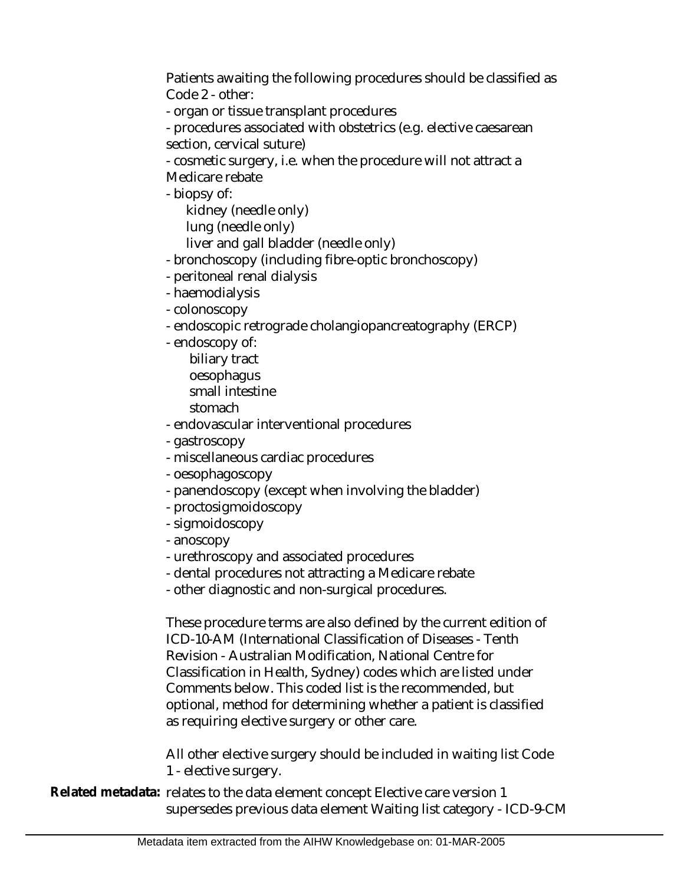Patients awaiting the following procedures should be classified as Code 2 - other:

- organ or tissue transplant procedures

- procedures associated with obstetrics (e.g. elective caesarean section, cervical suture)

- cosmetic surgery, i.e. when the procedure will not attract a Medicare rebate

- biopsy of:

 kidney (needle only) lung (needle only) liver and gall bladder (needle only)

- bronchoscopy (including fibre-optic bronchoscopy)
- peritoneal renal dialysis
- haemodialysis
- colonoscopy
- endoscopic retrograde cholangiopancreatography (ERCP)
- endoscopy of:
	- biliary tract oesophagus small intestine
	- stomach

- endovascular interventional procedures

- gastroscopy
- miscellaneous cardiac procedures
- oesophagoscopy
- panendoscopy (except when involving the bladder)
- proctosigmoidoscopy
- sigmoidoscopy
- anoscopy
- urethroscopy and associated procedures
- dental procedures not attracting a Medicare rebate
- other diagnostic and non-surgical procedures.

These procedure terms are also defined by the current edition of ICD-10-AM (International Classification of Diseases - Tenth Revision - Australian Modification, National Centre for Classification in Health, Sydney) codes which are listed under Comments below. This coded list is the recommended, but optional, method for determining whether a patient is classified as requiring elective surgery or other care.

All other elective surgery should be included in waiting list Code 1 - elective surgery.

Related metadata: relates to the data element concept Elective care version 1 supersedes previous data element Waiting list category - ICD-9-CM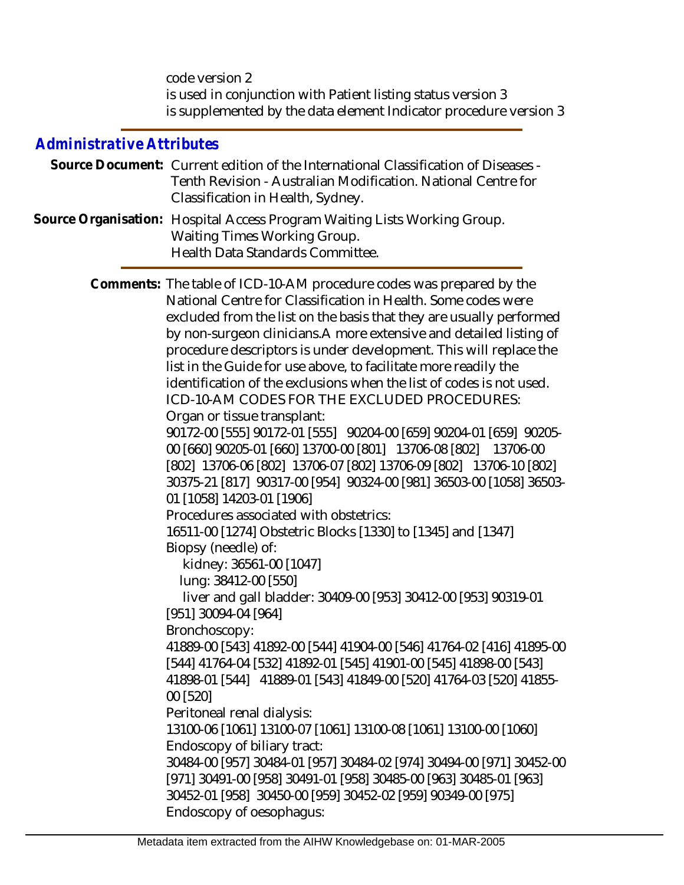code version 2 is used in conjunction with Patient listing status version 3 is supplemented by the data element Indicator procedure version 3

## *Administrative Attributes*

| Source Document: Current edition of the International Classification of Diseases - |
|------------------------------------------------------------------------------------|
| Tenth Revision - Australian Modification. National Centre for                      |
| Classification in Health, Sydney.                                                  |
| Source Organisation: Hospital Access Program Waiting Lists Working Group.          |

Waiting Times Working Group.

Health Data Standards Committee.

Comments: The table of ICD-10-AM procedure codes was prepared by the National Centre for Classification in Health. Some codes were excluded from the list on the basis that they are usually performed by non-surgeon clinicians.A more extensive and detailed listing of procedure descriptors is under development. This will replace the list in the Guide for use above, to facilitate more readily the identification of the exclusions when the list of codes is not used. ICD-10-AM CODES FOR THE EXCLUDED PROCEDURES: Organ or tissue transplant: 90172-00 [555] 90172-01 [555] 90204-00 [659] 90204-01 [659] 90205- 00 [660] 90205-01 [660] 13700-00 [801] 13706-08 [802] 13706-00 [802] 13706-06 [802] 13706-07 [802] 13706-09 [802] 13706-10 [802] 30375-21 [817] 90317-00 [954] 90324-00 [981] 36503-00 [1058] 36503- 01 [1058] 14203-01 [1906] Procedures associated with obstetrics: 16511-00 [1274] Obstetric Blocks [1330] to [1345] and [1347] Biopsy (needle) of: kidney: 36561-00 [1047] lung: 38412-00 [550] liver and gall bladder: 30409-00 [953] 30412-00 [953] 90319-01 [951] 30094-04 [964] Bronchoscopy: 41889-00 [543] 41892-00 [544] 41904-00 [546] 41764-02 [416] 41895-00 [544] 41764-04 [532] 41892-01 [545] 41901-00 [545] 41898-00 [543] 41898-01 [544] 41889-01 [543] 41849-00 [520] 41764-03 [520] 41855- 00 [520] Peritoneal renal dialysis: 13100-06 [1061] 13100-07 [1061] 13100-08 [1061] 13100-00 [1060] Endoscopy of biliary tract: 30484-00 [957] 30484-01 [957] 30484-02 [974] 30494-00 [971] 30452-00 [971] 30491-00 [958] 30491-01 [958] 30485-00 [963] 30485-01 [963] 30452-01 [958] 30450-00 [959] 30452-02 [959] 90349-00 [975] Endoscopy of oesophagus:

Metadata item extracted from the AIHW Knowledgebase on: 01-MAR-2005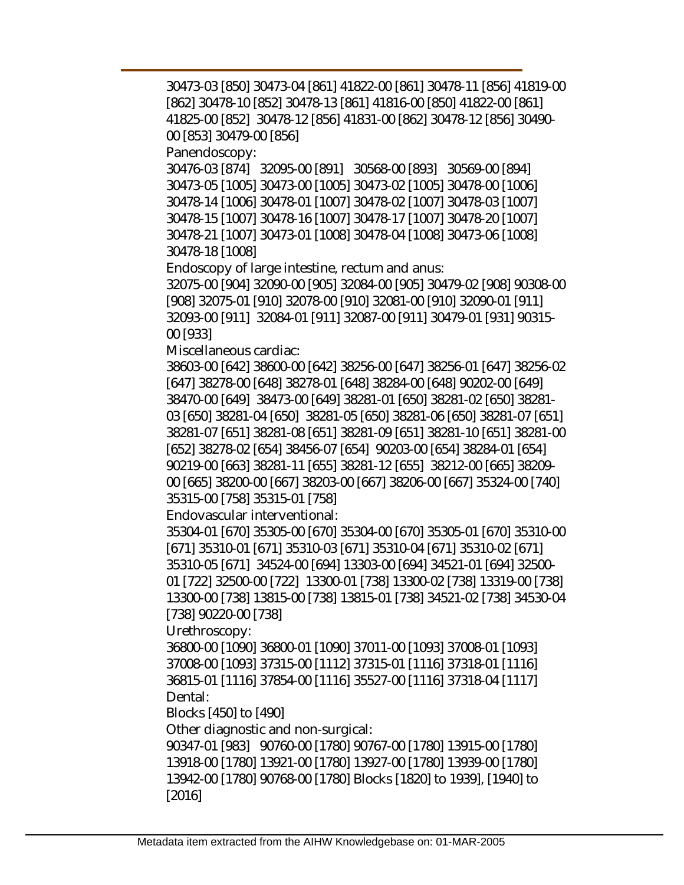30473-03 [850] 30473-04 [861] 41822-00 [861] 30478-11 [856] 41819-00 [862] 30478-10 [852] 30478-13 [861] 41816-00 [850] 41822-00 [861] 41825-00 [852] 30478-12 [856] 41831-00 [862] 30478-12 [856] 30490- 00 [853] 30479-00 [856] Panendoscopy: 30476-03 [874] 32095-00 [891] 30568-00 [893] 30569-00 [894] 30473-05 [1005] 30473-00 [1005] 30473-02 [1005] 30478-00 [1006] 30478-14 [1006] 30478-01 [1007] 30478-02 [1007] 30478-03 [1007] 30478-15 [1007] 30478-16 [1007] 30478-17 [1007] 30478-20 [1007] 30478-21 [1007] 30473-01 [1008] 30478-04 [1008] 30473-06 [1008] 30478-18 [1008] Endoscopy of large intestine, rectum and anus: 32075-00 [904] 32090-00 [905] 32084-00 [905] 30479-02 [908] 90308-00 [908] 32075-01 [910] 32078-00 [910] 32081-00 [910] 32090-01 [911] 32093-00 [911] 32084-01 [911] 32087-00 [911] 30479-01 [931] 90315- 00 [933] Miscellaneous cardiac: 38603-00 [642] 38600-00 [642] 38256-00 [647] 38256-01 [647] 38256-02 [647] 38278-00 [648] 38278-01 [648] 38284-00 [648] 90202-00 [649] 38470-00 [649] 38473-00 [649] 38281-01 [650] 38281-02 [650] 38281- 03 [650] 38281-04 [650] 38281-05 [650] 38281-06 [650] 38281-07 [651] 38281-07 [651] 38281-08 [651] 38281-09 [651] 38281-10 [651] 38281-00 [652] 38278-02 [654] 38456-07 [654] 90203-00 [654] 38284-01 [654] 90219-00 [663] 38281-11 [655] 38281-12 [655] 38212-00 [665] 38209- 00 [665] 38200-00 [667] 38203-00 [667] 38206-00 [667] 35324-00 [740] 35315-00 [758] 35315-01 [758] Endovascular interventional: 35304-01 [670] 35305-00 [670] 35304-00 [670] 35305-01 [670] 35310-00 [671] 35310-01 [671] 35310-03 [671] 35310-04 [671] 35310-02 [671] 35310-05 [671] 34524-00 [694] 13303-00 [694] 34521-01 [694] 32500- 01 [722] 32500-00 [722] 13300-01 [738] 13300-02 [738] 13319-00 [738] 13300-00 [738] 13815-00 [738] 13815-01 [738] 34521-02 [738] 34530-04 [738] 90220-00 [738] Urethroscopy: 36800-00 [1090] 36800-01 [1090] 37011-00 [1093] 37008-01 [1093] 37008-00 [1093] 37315-00 [1112] 37315-01 [1116] 37318-01 [1116] 36815-01 [1116] 37854-00 [1116] 35527-00 [1116] 37318-04 [1117] Dental: Blocks [450] to [490] Other diagnostic and non-surgical: 90347-01 [983] 90760-00 [1780] 90767-00 [1780] 13915-00 [1780] 13918-00 [1780] 13921-00 [1780] 13927-00 [1780] 13939-00 [1780] 13942-00 [1780] 90768-00 [1780] Blocks [1820] to 1939], [1940] to [2016]